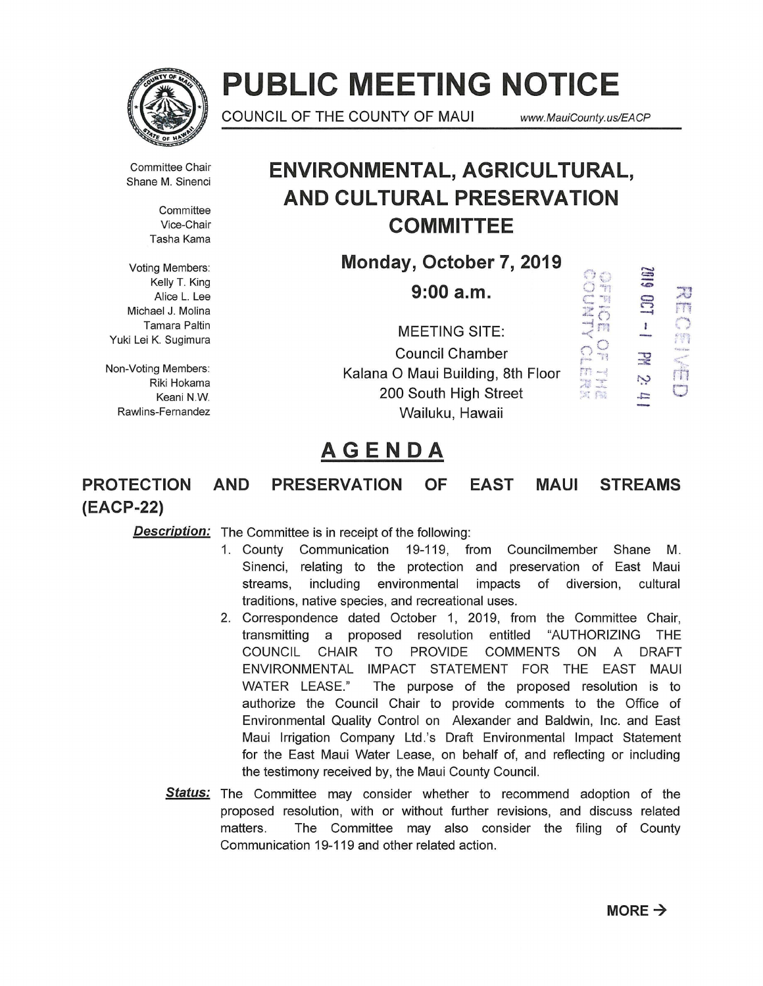

# **PUBLIC MEETING NOTICE**

COUNCIL OF THE COUNTY OF MAUl *www.* MauiCounty. us/EA CP

Committee Chair Shane M. Sinenci

> **Committee** Vice-Chair Tasha Kama

Voting Members: <== Kelly T. King Alice L. Lee Michael J. Molina Tamara Paltin Yuki Lei K. Sugimura

Non-Voting Members: Riki Hokama Keani N.W. Rawlins-Fernandez

### **ENVIRONMENTAL, AGRICULTURAL, AND CULTURAL PRESERVATION COMMITTEE**

**Monday, October 7, 2019** 

**9:00 a.m.**<br> **EETING SITE:**<br> **EETING SITE:**<br>  $\frac{25}{2}$ <br>  $\frac{25}{2}$ <br>  $\frac{1}{2}$ MEETING SITE:<br>Council Chamber<br>D Maui Building, 8th Floor Council Chamber  $\mathbb{R}^{\frac{N}{18}}$   $\mathbb{R}$ Kalana 0 Maui Building, 8th Floor 200 South High Street Wailuku, Hawaii

## ,...\_,  $\frac{1}{2}$   $\frac{1}{2}$ ' <sup>l</sup> ::;"!!: .;.;:'" ry rri ' <sup>l</sup> \*\*<br>\*\*<br>\*\* **\***

## **AGENDA**

### **PROTECTION AND PRESERVATION OF EAST MAUl STREAMS (EACP-22)**

**Description:** The Committee is in receipt of the following:

- 1. County Communication 19-119, from Councilmember Shane M. Sinenci, relating to the protection and preservation of East Maui streams, including environmental impacts of diversion, cultural traditions, native species, and recreational uses.
- 2. Correspondence dated October 1, 2019, from the Committee Chair, transmitting a proposed resolution entitled "AUTHORIZING THE COUNCIL CHAIR TO PROVIDE COMMENTS ON A DRAFT ENVIRONMENTAL IMPACT STATEMENT FOR THE EAST MAUl WATER LEASE." The purpose of the proposed resolution is to authorize the Council Chair to provide comments to the Office of Environmental Quality Control on Alexander and Baldwin, Inc. and East Maui Irrigation Company Ltd.'s Draft Environmental Impact Statement for the East Maui Water Lease, on behalf of, and reflecting or including the testimony received by, the Maui County Council.
- Status: The Committee may consider whether to recommend adoption of the proposed resolution, with or without further revisions, and discuss related matters. The Committee may also consider the filing of County Communication 19-119 and other related action.